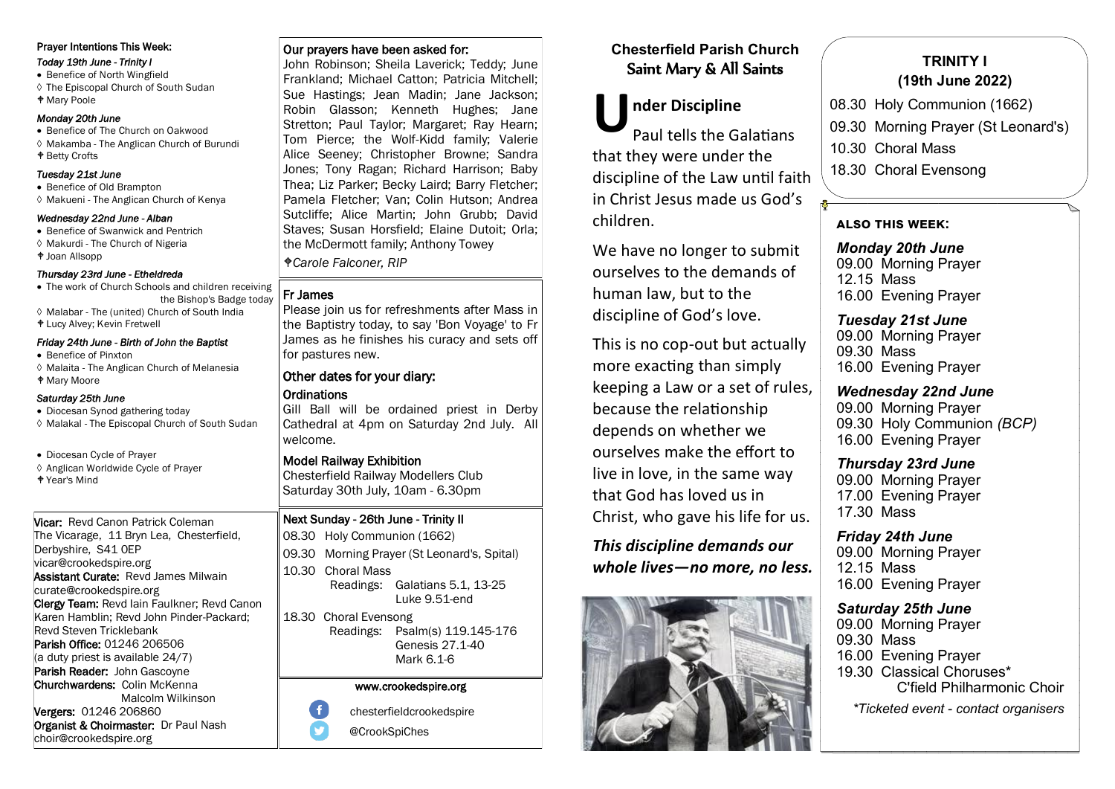## Prayer Intentions This Week:

*Today 19th June - Trinity I* 

• Benefice of North Wingfield The Episcopal Church of South Sudan Mary Poole

### *Monday 20th June*

• Benefice of The Church on Oakwood Makamba - The Anglican Church of Burundi Betty Crofts

## *Tuesday 21st June*

- Benefice of Old Brampton
- Makueni The Anglican Church of Kenya

### *Wednesday 22nd June - Alban*

- Benefice of Swanwick and Pentrich
- ♦ Makurdi The Church of Nigeria
- Joan Allsopp

## *Thursday 23rd June - Etheldreda*

- The work of Church Schools and children receiving the Bishop's Badge today Malabar - The (united) Church of South India
- Lucy Alvey; Kevin Fretwell

## *Friday 24th June - Birth of John the Baptist*

- Benefice of Pinxton
- Malaita The Anglican Church of Melanesia
- Mary Moore

## *Saturday 25th June*

- Diocesan Synod gathering today
- Malakal The Episcopal Church of South Sudan
- Diocesan Cycle of Prayer
- ♦ Anglican Worldwide Cycle of Prayer
- Year's Mind

## Vicar: Revd Canon Patrick Coleman The Vicarage, 11 Bryn Lea, Chesterfield, Derbyshire, S41 0EP vicar@crookedspire.org Assistant Curate: Revd James Milwain curate@crookedspire.org Clergy Team: Revd Iain Faulkner; Revd Canon Karen Hamblin; Revd John Pinder-Packard; Revd Steven Tricklebank Parish Office: 01246 206506 (a duty priest is available 24/7) Parish Reader: John Gascovne Churchwardens: Colin McKenna Malcolm Wilkinson Vergers: 01246 206860

Organist & Choirmaster: Dr Paul Nash choir@crookedspire.org

# Our prayers have been asked for:

John Robinson; Sheila Laverick; Teddy; June Frankland; Michael Catton; Patricia Mitchell; Sue Hastings; Jean Madin; Jane Jackson; Robin Glasson; Kenneth Hughes; Jane Stretton; Paul Taylor; Margaret; Ray Hearn; Tom Pierce; the Wolf-Kidd family; Valerie Alice Seeney; Christopher Browne; Sandra Jones; Tony Ragan; Richard Harrison; Baby Thea; Liz Parker; Becky Laird; Barry Fletcher; Pamela Fletcher; Van; Colin Hutson; Andrea Sutcliffe; Alice Martin; John Grubb; David Staves; Susan Horsfield; Elaine Dutoit; Orla; the McDermott family; Anthony Towey *Carole Falconer, RIP*

## Fr James

Please join us for refreshments after Mass in the Baptistry today, to say 'Bon Voyage' to Fr James as he finishes his curacy and sets off for pastures new.

# Other dates for your diary: **Ordinations**

Gill Ball will be ordained priest in Derby Cathedral at 4pm on Saturday 2nd July. All welcome.

# Model Railway Exhibition

Chesterfield Railway Modellers Club Saturday 30th July, 10am - 6.30pm

# Next Sunday - 26th June - Trinity II

08.30 Holy Communion (1662) 09.30 Morning Prayer (St Leonard's, Spital) 10.30 Choral Mass Readings: Galatians 5.1, 13-25 Luke 9.51-end

18.30 Choral Evensong Readings: Psalm(s) 119.145-176 Genesis 27.1-40 Mark 6.1-6

## www.crookedspire.org

 $\ddot{\mathbf{f}}$ chesterfieldcrookedspire

@CrookSpiChes

# **Chesterfield Parish Church** Saint Mary & All Saints

# **nder Discipline**

**U** Paul tells the Galatians that they were under the discipline of the Law until faith in Christ Jesus made us God's children.

We have no longer to submit ourselves to the demands of human law, but to the discipline of God's love.

This is no cop-out but actually more exacting than simply keeping a Law or a set of rules, because the relationship depends on whether we ourselves make the effort to live in love, in the same way that God has loved us in Christ, who gave his life for us.

*This discipline demands our whole lives—no more, no less.*



# **TRINITY I (19th June 2022)**

- 08.30 Holy Communion (1662)
- 09.30 Morning Prayer (St Leonard's)
- 10.30 Choral Mass
- 18.30 Choral Evensong

# **also this week:**

*Monday 20th June* 09.00 Morning Prayer 12.15 Mass 16.00 Evening Prayer

## *Tuesday 21st June* 09.00 Morning Prayer 09.30 Mass 16.00 Evening Prayer

# *Wednesday 22nd June* 09.00 Morning Prayer

09.30 Holy Communion *(BCP)* 16.00 Evening Prayer

# *Thursday 23rd June*

09.00 Morning Prayer 17.00 Evening Prayer 17.30 Mass

# *Friday 24th June* 09.00 Morning Prayer

12.15 Mass 16.00 Evening Prayer

# *Saturday 25th June*

09.00 Morning Prayer 09.30 Mass 16.00 Evening Prayer 19.30 Classical Choruses\* C'field Philharmonic Choir *\*Ticketed event - contact organisers*